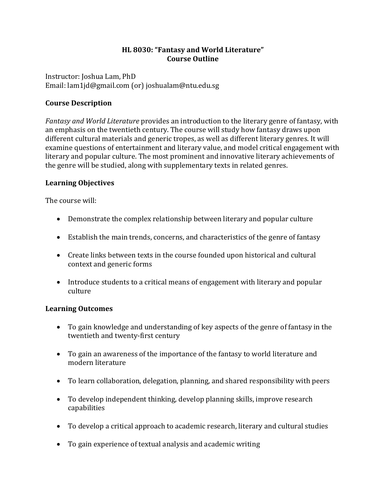## **HL 8030: "Fantasy and World Literature" Course Outline**

Instructor: Joshua Lam, PhD Email: lam1jd@gmail.com (or) joshualam@ntu.edu.sg

# **Course Description**

*Fantasy and World Literature* provides an introduction to the literary genre of fantasy, with an emphasis on the twentieth century. The course will study how fantasy draws upon different cultural materials and generic tropes, as well as different literary genres. It will examine questions of entertainment and literary value, and model critical engagement with literary and popular culture. The most prominent and innovative literary achievements of the genre will be studied, along with supplementary texts in related genres.

# **Learning Objectives**

The course will:

- Demonstrate the complex relationship between literary and popular culture
- Establish the main trends, concerns, and characteristics of the genre of fantasy
- Create links between texts in the course founded upon historical and cultural context and generic forms
- Introduce students to a critical means of engagement with literary and popular culture

# **Learning Outcomes**

- To gain knowledge and understanding of key aspects of the genre of fantasy in the twentieth and twenty-first century
- To gain an awareness of the importance of the fantasy to world literature and modern literature
- To learn collaboration, delegation, planning, and shared responsibility with peers
- To develop independent thinking, develop planning skills, improve research capabilities
- To develop a critical approach to academic research, literary and cultural studies
- To gain experience of textual analysis and academic writing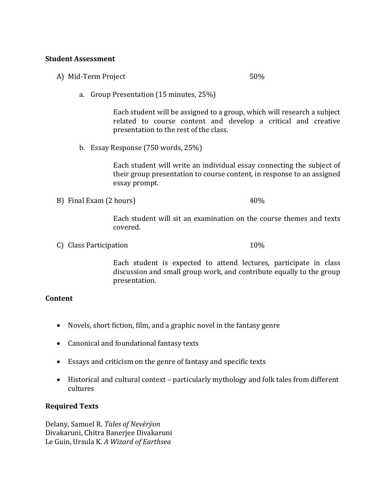#### **Student Assessment**

A) Mid-Term Project 50%

a. Group Presentation (15 minutes, 25%)

Each student will be assigned to a group, which will research a subject related to course content and develop a critical and creative presentation to the rest of the class.

b. Essay Response (750 words, 25%)

Each student will write an individual essay connecting the subject of their group presentation to course content, in response to an assigned essay prompt.

B) Final Exam (2 hours) 40%

Each student will sit an examination on the course themes and texts covered.

C) Class Participation 10%

Each student is expected to attend lectures, participate in class discussion and small group work, and contribute equally to the group presentation.

### **Content**

- Novels, short fiction, film, and a graphic novel in the fantasy genre
- Canonical and foundational fantasy texts
- Essays and criticism on the genre of fantasy and specific texts
- Historical and cultural context particularly mythology and folk tales from different cultures

### **Required Texts**

Delany, Samuel R. *Tales of Nevèrÿon* Divakaruni, Chitra Banerjee Divakaruni Le Guin, Ursula K. *A Wizard of Earthsea*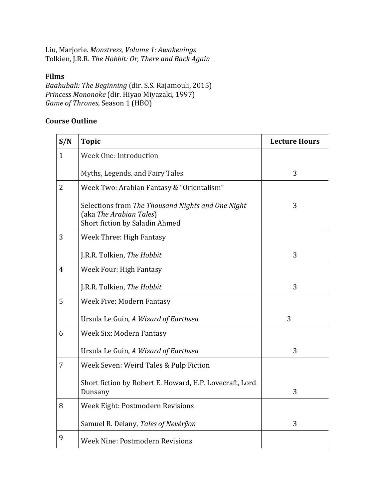Liu, Marjorie. *Monstress*, *Volume 1: Awakenings* Tolkien, J.R.R. *The Hobbit: Or, There and Back Again*

## **Films**

*Baahubali: The Beginning* (dir. S.S. Rajamouli, 2015) *Princess Mononoke* (dir. Hiyao Miyazaki, 1997) *Game of Thrones*, Season 1 (HBO)

## **Course Outline**

| S/N            | <b>Topic</b>                                                                                                   | <b>Lecture Hours</b> |
|----------------|----------------------------------------------------------------------------------------------------------------|----------------------|
| $\mathbf{1}$   | Week One: Introduction                                                                                         |                      |
|                | Myths, Legends, and Fairy Tales                                                                                | 3                    |
| $\overline{2}$ | Week Two: Arabian Fantasy & "Orientalism"                                                                      |                      |
|                | Selections from The Thousand Nights and One Night<br>(aka The Arabian Tales)<br>Short fiction by Saladin Ahmed | 3                    |
| 3              | Week Three: High Fantasy                                                                                       |                      |
|                | J.R.R. Tolkien, The Hobbit                                                                                     | 3                    |
| $\overline{4}$ | <b>Week Four: High Fantasy</b>                                                                                 |                      |
|                | J.R.R. Tolkien, The Hobbit                                                                                     | 3                    |
| 5              | Week Five: Modern Fantasy                                                                                      |                      |
|                | Ursula Le Guin, A Wizard of Earthsea                                                                           | 3                    |
| 6              | Week Six: Modern Fantasy                                                                                       |                      |
|                | Ursula Le Guin, A Wizard of Earthsea                                                                           | 3                    |
| 7              | Week Seven: Weird Tales & Pulp Fiction                                                                         |                      |
|                | Short fiction by Robert E. Howard, H.P. Lovecraft, Lord<br>Dunsany                                             | 3                    |
| 8              | Week Eight: Postmodern Revisions                                                                               |                      |
|                | Samuel R. Delany, Tales of Nevèrÿon                                                                            | 3                    |
| 9              | <b>Week Nine: Postmodern Revisions</b>                                                                         |                      |